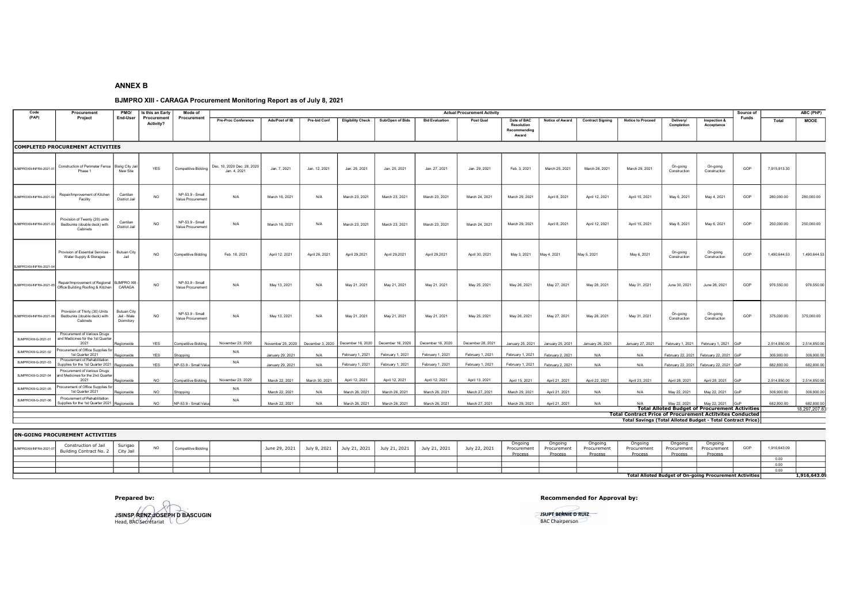## ANNEX B

## BJMPRO XIII - CARAGA Procurement Monitoring Report as of July 8, 2021

| Code                     | Procurement                                                                       | PMO/                                           | Is this an Early         | Mode of                              | <b>Actual Procurement Activity</b>          |                   |                     |                                    |                   |                       |                   |                                                    |                  |                         | Source of                                                          |                                | ABC (PhP)                                                             |       |              |                             |
|--------------------------|-----------------------------------------------------------------------------------|------------------------------------------------|--------------------------|--------------------------------------|---------------------------------------------|-------------------|---------------------|------------------------------------|-------------------|-----------------------|-------------------|----------------------------------------------------|------------------|-------------------------|--------------------------------------------------------------------|--------------------------------|-----------------------------------------------------------------------|-------|--------------|-----------------------------|
| (PAP)                    | Project                                                                           | End-User                                       | Procurement<br>Activity? | Procurement                          | <b>Pre-Proc Conference</b>                  | Ads/Post of IB    | <b>Pre-bid Conf</b> | <b>Eligibility Check</b>           | Sub/Open of Bids  | <b>Bid Evaluation</b> | Post Qual         | Date of BAC<br>Resolution<br>Recommending<br>Award | Notice of Award  | <b>Contract Signing</b> | <b>Notice to Proceed</b>                                           | <b>Delivery/</b><br>Completion | Inspection &<br>Acceptance                                            | Funds | Total        | <b>MOOE</b>                 |
|                          | <b>COMPLETED PROCUREMENT ACTIVITIES</b>                                           |                                                |                          |                                      |                                             |                   |                     |                                    |                   |                       |                   |                                                    |                  |                         |                                                                    |                                |                                                                       |       |              |                             |
| BJMPROXIII-INFRA-2021-01 | Construction of Perimeter Fence<br>Phase 1                                        | <b>Bislig City Jai</b><br>New Site             | YES                      | <b>Competitive Bidding</b>           | Dec. 10, 2020 Dec. 28, 2020<br>Jan. 4, 2021 | Jan. 7, 2021      | Jan. 12, 2021       | Jan. 25, 2021                      | Jan. 25, 2021     | Jan. 27, 2021         | Jan. 29, 2021     | Feb. 3, 2021                                       | March 25, 2021   | March 26, 2021          | March 29, 2021                                                     | On-going<br>Construction       | On-going<br>Construction                                              | GOP   | 7,915,913.30 |                             |
| BJMPROXIII-INFRA-2021-02 | Repair/Improvement of Kitchen<br>Facility                                         | Cantilan<br><b>District Jail</b>               | <b>NO</b>                | NP-53.9 - Small<br>Value Procurement | N/A                                         | March 16, 2021    | N/A                 | March 23, 2021                     | March 23, 2021    | March 23, 2021        | March 24, 2021    | March 29, 2021                                     | April 8, 2021    | April 12, 2021          | April 15, 2021                                                     | May 6, 2021                    | May 4, 2021                                                           | GOP   | 280,000.00   | 280,000.00                  |
| BJMPROXIII-INFRA-2021-03 | Provision of Twenty (20) units<br>Bedbunks (double deck) with<br>Cabinets         | Cantilan<br><b>District Jail</b>               | NO                       | NP-53.9 - Small<br>Value Procurement | N/A                                         | March 16, 2021    | N/A                 | March 23, 2021                     | March 23, 2021    | March 23, 2021        | March 24, 2021    | March 29, 2021                                     | April 8, 2021    | April 12, 2021          | April 15, 2021                                                     | May 8, 2021                    | May 6, 2021                                                           | GOP   | 250,000.00   | 250,000.00                  |
| BJMPROXIII-INFRA-2021-04 | Provision of Essential Services -<br>Water Supply & Storages                      | <b>Butuan City</b><br>Jail                     | <b>NO</b>                | Competitive Bidding                  | Feb. 18, 2021                               | April 12, 2021    | April 26, 2021      | April 29,2021                      | April 29,2021     | April 29,2021         | April 30, 2021    | May 3, 2021                                        | May 4, 2021      | May 5, 2021             | May 6, 2021                                                        | On-going<br>Construction       | On-going<br>Construction                                              | GOP   | 1,490,644.53 | 1,490,644.53                |
| BJMPROXIII-INFRA-2021-05 | Repair/Improvement of Regional   BJMPRO XIII<br>Office Building Roofing & Kitchen | CARAGA                                         | NO                       | NP-53.9 - Small<br>Value Procurement | N/A                                         | May 13, 2021      | N/A                 | May 21, 2021                       | May 21, 2021      | May 21, 2021          | May 25, 2021      | May 26, 2021                                       | May 27, 2021     | May 28, 2021            | May 31, 2021                                                       | June 30, 2021                  | June 28, 2021                                                         | GOP   | 976,550.00   | 976,550.00                  |
| BJMPROXIII-INFRA-2021-06 | Provision of Thirty (30) Units<br>Bedbunks (double deck) with<br>Cabinets         | <b>Butuan City</b><br>Jail - Male<br>Dormitory | <b>NO</b>                | NP-53.9 - Small<br>Value Procurement | N/A                                         | May 13, 2021      | N/A                 | May 21, 2021                       | May 21, 2021      | May 21, 2021          | May 25, 2021      | May 26, 2021                                       | May 27, 2021     | May 28, 2021            | May 31, 2021                                                       | On-going<br>Construction       | On-going<br>Construction                                              | GOP   | 375,000.00   | 375,000.00                  |
| BJMPROXIII-G-2021-01     | Procurement of Various Drugs<br>and Medicines for the 1st Quarter<br>2021         | Regionwide                                     | <b>YES</b>               | Competitive Bidding                  | November 23, 2020                           | November 25, 2020 |                     | December 3, 2020 December 16, 2020 | December 16, 2020 | December 16, 2020     | December 28, 2021 | January 25, 2021                                   | January 25, 2021 | January 26, 2021        | January 27, 2021                                                   | February 1, 2021               | February 1, 2021                                                      | l GoF | 2.514.850.00 | 2,514,850.0                 |
| BJMPROXIII-G-2021-02     | Procurement of Office Supplies for<br>1st Quarter 2021                            | Regionwide                                     | YES                      | hopping                              | N/A                                         | January 29, 2021  | N/A                 | February 1, 2021                   | February 1, 2021  | February 1, 2021      | February 1, 2021  | February 1, 2021                                   | February 2, 2021 | N/A                     | N/A                                                                |                                | February 22, 2021 February 22, 2021                                   | GoP   | 306,900.00   | 306,900.0                   |
| BJMPROXIII-G-2021-03     | Procurement of Rehabilitation<br>Supplies for the 1st Quarter 2021   Regionwide   |                                                | <b>YES</b>               | NP-53.9 - Small Valu                 | N/A                                         | January 29, 2021  | N/A                 | February 1, 2021                   | February 1, 2021  | February 1, 2021      | February 1, 2021  | February 1, 2021                                   | February 2, 2021 | N/A                     | N/A                                                                |                                | February 22, 2021 February 22, 2021 GoP                               |       | 682,800.00   | 682,800.00                  |
| BJMPROXIII-G-2021-04     | Procurement of Various Drugs<br>and Medicines for the 2nd Quarter<br>2021         | Regionwide                                     | <b>NO</b>                | Competitive Bidding                  | November 23, 2020                           | March 22, 2021    | March 30, 2021      | April 12, 2021                     | April 12, 2021    | April 12, 2021        | April 13, 2021    | April 15, 2021                                     | April 21, 2021   | April 22, 2021          | April 23, 2021                                                     | April 28, 2021                 | April 28, 2021                                                        | GoF   | 2,514,850.00 | 2,514,850.0                 |
| BJMPROXIII-G-2021-05     | Procurement of Office Supplies for<br>1st Quarter 2021                            | Regionwide                                     | <b>NO</b>                | Shopping                             | N/A                                         | March 22, 2021    | N/A                 | March 26, 2021                     | March 26, 2021    | March 26, 2021        | March 27, 2021    | March 29, 2021                                     | April 21, 2021   | N/A                     | N/A                                                                | May 22, 2021                   | May 22, 2021                                                          | GoP   | 306,900.00   | 306,900.00                  |
| BJMPROXIII-G-2021-06     | Procurement of Rehabilitation<br>Supplies for the 1st Quarter 2021   Regionwide   |                                                | <b>NO</b>                | NP-53.9 - Small Valu                 | N/A                                         | March 22, 2021    | N/A                 | March 26, 2021                     | March 26, 2021    | March 26, 2021        | March 27, 2021    | March 29, 2021                                     | April 21, 2021   | N/A                     | N/A                                                                | May 22, 2021                   | May 22, 2021<br><b>Total Alloted Budget of Procurement Activities</b> |       | 682,800.00   | 682,800.00<br>18,297,207.83 |
|                          |                                                                                   |                                                |                          |                                      |                                             |                   |                     |                                    |                   |                       |                   |                                                    |                  |                         | <b>Total Contract Price of Procurement Actitvites Conducted</b>    |                                |                                                                       |       |              |                             |
|                          |                                                                                   |                                                |                          |                                      |                                             |                   |                     |                                    |                   |                       |                   |                                                    |                  |                         | <b>Total Savings (Total Alloted Budget - Total Contract Price)</b> |                                |                                                                       |       |              |                             |

## 0N-GOING PROCUREMENT ACTIVITIES

| Ongoing<br>Onaoina<br>Ongoing<br>Ongoine<br>Ongoine<br>Ongoing<br>Construction of Jail<br>July 22, 2021<br>1,916,643.09<br>21, 2021<br><b>D. DOD</b> +<br>$\mathbf{M}$<br>29.2021<br>1, 2021<br>Procuremen<br>Procurement<br>Procuremer<br>Procureme<br>BJMPROXIII-INFRA-2021-<br>Competitive Bidd<br>Building Contract No. 2<br>City 1.<br>Process<br>Process<br>Process<br>Process<br>Proces<br>Process<br>0.00<br>0.00<br>u.uu |  |  |  |  |  |  |  |  | Total Alloted Budget of On-going Procurement Activities |  |  | 1,916,643.0 |
|-----------------------------------------------------------------------------------------------------------------------------------------------------------------------------------------------------------------------------------------------------------------------------------------------------------------------------------------------------------------------------------------------------------------------------------|--|--|--|--|--|--|--|--|---------------------------------------------------------|--|--|-------------|
|                                                                                                                                                                                                                                                                                                                                                                                                                                   |  |  |  |  |  |  |  |  |                                                         |  |  |             |
|                                                                                                                                                                                                                                                                                                                                                                                                                                   |  |  |  |  |  |  |  |  |                                                         |  |  |             |
|                                                                                                                                                                                                                                                                                                                                                                                                                                   |  |  |  |  |  |  |  |  |                                                         |  |  |             |
|                                                                                                                                                                                                                                                                                                                                                                                                                                   |  |  |  |  |  |  |  |  |                                                         |  |  |             |

JSINSP/RENZ/JOSEPH D BASCUGIN<br>Head, BAC Secretariat

**Prepared by:** Recommended for Approval by:

**JSUPT BERNIE D RUIZ**<br>BAC Chairperson